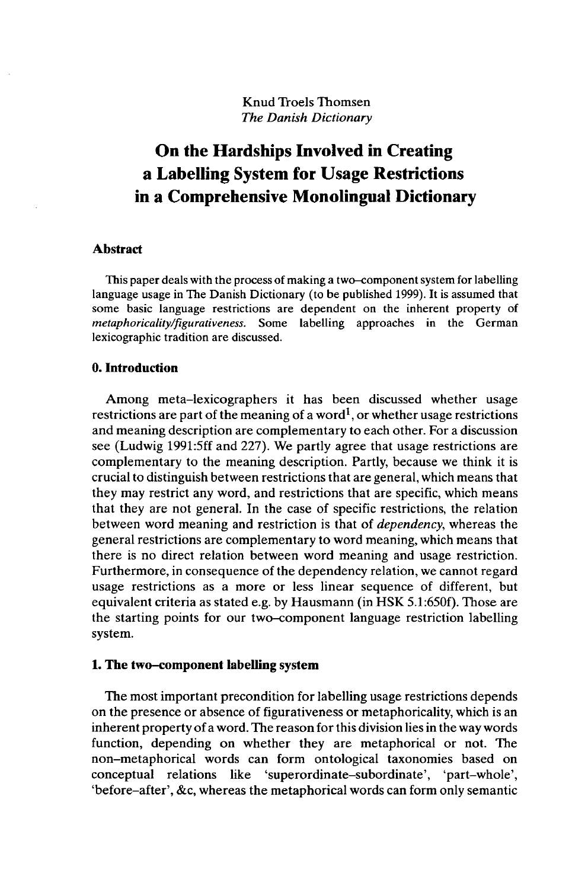Knud Troels Thomsen *The Danish Dictionary*

# **On the Hardships Involved in Creating a Labelling System for Usage Restrictions in a Comprehensive Monolingual Dictionary**

#### **Abstract**

This paper deals with the process of making a two-component system for labelling language usage in The Danish Dictionary (to be published 1999). It is assumed that some basic language restrictions are dependent on the inherent property of *metaphoricality/figurativeness.* Some labelling approaches in the German lexicographic tradition are discussed.

## **0. Introduction**

Among meta-lexicographers it has been discussed whether usage restrictions are part of the meaning of a word<sup>1</sup>, or whether usage restrictions and meaning description are complementary to each other. For a discussion see (Ludwig 1991:5ff and 227). We partly agree that usage restrictions are complementary to the meaning description. Partly, because we think it is crucial to distinguish between restrictions that are general, which means that they may restrict any word, and restrictions that are specific, which means that they are not general. In the case of specific restrictions, the relation between word meaning and restriction is that of *dependency,* whereas the general restrictions are complementary to word meaning, which means that there is no direct relation between word meaning and usage restriction. Furthermore, in consequence of the dependency relation, we cannot regard usage restrictions as a more or less linear sequence of different, but equivalent criteria as stated e.g. by Hausmann (in HSK 5.1:650f). Those are the starting points for our two-component language restriction labelling system.

#### **1. The two-component labelling system**

The most important precondition for labelling usage restrictions depends on the presence or absence of figurativeness or metaphoricality, which is an inherent property of a word. The reason for this division lies in the way words function, depending on whether they are metaphorical or not. The non-metaphorical words can form ontological taxonomies based on conceptual relations like 'superordinate-subordinate', 'part-whole', 'before-after', &c, whereas the metaphorical words can form only semantic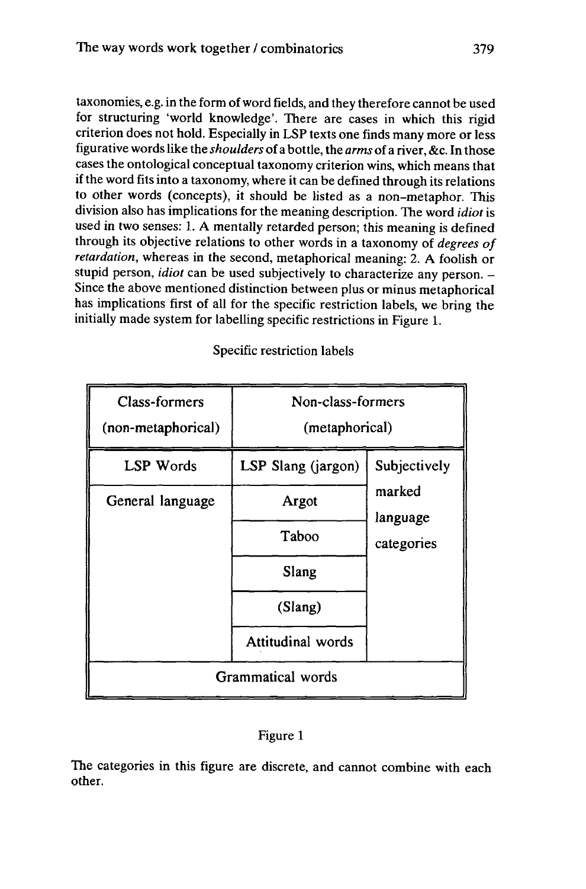taxonomies, e.g. in the form ofword fields, and they therefore cannot be used for structuring 'world knowledge'. There are cases in which this rigid criterion does not hold. Especially in LSP texts one finds many more or less figurative wordslike the *shoulders* of a bottle, the *arms* of a river, &c. In those cases the ontological conceptual taxonomy criterion wins, which means that if the word fits into a taxonomy, where it can be defined through its relations to other words (concepts), it should be listed as a non-metaphor. This division also has implications for the meaning description. The word *idiot*is used in two senses: 1. A mentally retarded person; this meaning is defined through its objective relations to other words in a taxonomy of *degrees of retardation,* whereas in the second, metaphorical meaning: 2. A foolish or stupid person, *idiot* can be used subjectively to characterize any person. - Since the above mentioned distinction between plus or minus metaphorical has implications first of all for the specific restriction labels, we bring the initially made system for labelling specific restrictions in Figure 1.

Class-formers (non-metaphorical) Non-class-formers (metaphorical) LSP Words | LSP Slang (jargon) | Subjectively marked language categories General language | Argot Taboo Slang (Slang) Attitudinal words Grammatical words

Specific restriction labels

# Figure <sup>1</sup>

The categories in this figure are discrete, and cannot combine with each other.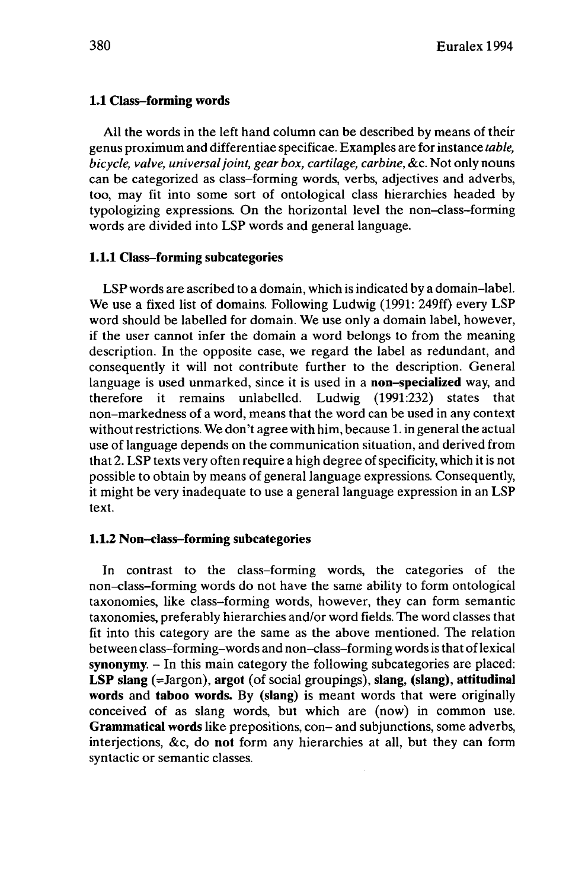# **1.1 Class-forming words**

All the words in the left hand column can be described by means of their genus proximum and differentiae specificae. Examples are for instance *table, bicycle, valve, universaljoint, gear box, cartilage, carbine,* &c. Not only nouns can be categorized as class-forming words, verbs, adjectives and adverbs, too, may fit into some sort of ontological class hierarchies headed by typologizing expressions. On the horizontal level the non-class-forming words are divided into LSP words and general language.

## **1.1.1 Class•forming subcategories**

LSP words are ascribed to a domain, which is indicated by a domain-label. We use a fixed list of domains. Following Ludwig (1991: 249ff) every LSP word should be labelled for domain. We use only a domain label, however, if the user cannot infer the domain a word belongs to from the meaning description. In the opposite case, we regard the label as redundant, and consequently it will not contribute further to the description. General language is used unmarked, since it is used in a **non-specialized** way, and therefore it remains unlabelled. Ludwig (1991:232) states that non-markedness of a word, means that the word can be used in any context without restrictions. We don't agree with him, because 1. in general the actual use of language depends on the communication situation, and derived from that 2. LSP texts very often require a high degree of specificity, which it is not possible to obtain by means of general language expressions. Consequently, it might be very inadequate to use a general language expression in an LSP text.

# **1.1.2 Non-class-forming subcategories**

**In** contrast to the class-forming words, the categories of the non-class-forming words do not have the same ability to form ontological taxonomies, like class-forming words, however, they can form semantic taxonomies, preferably hierarchies and/or word fields. The word classes that fit into this category are the same as the above mentioned. The relation between class-forming-words and non-class-forming wordsis that oflexical synonymy. - In this main category the following subcategories are placed: **LSP slang** (=Jargon), **argot** (of social groupings), **slang, (slang), attitudinal words** and **taboo words. By (slang)** is meant words that were originally conceived of as slang words, but which are (now) in common use. **Grammatical words** like prepositions, con- and subjunctions, some adverbs, interjections, &c, do **not** form any hierarchies at all, but they can form syntactic or semantic classes.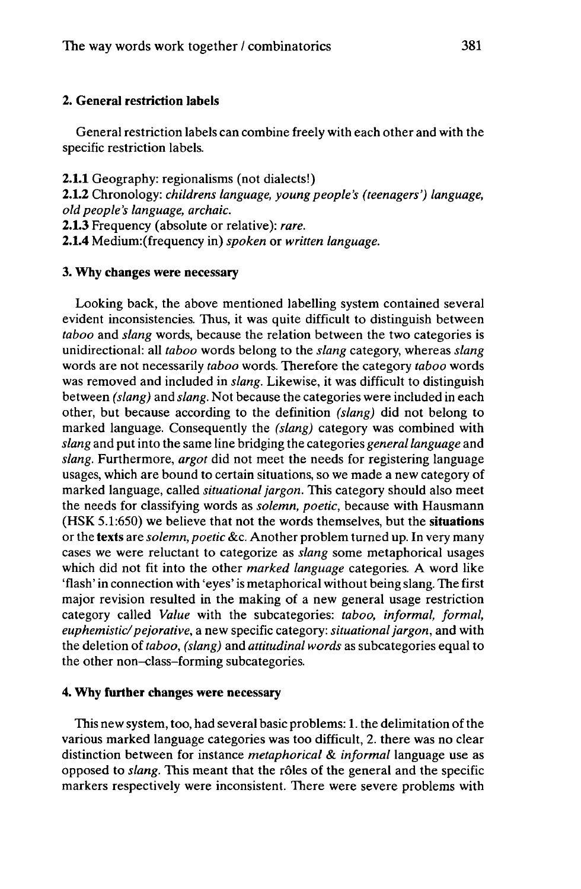## **2. Genera] restriction labels**

General restriction labels can combine freely with each other and with the specific restriction labels.

**2.1.1** Geography: regionalisms (not dialects!) **2.1.2** Chronology: *childrens language, young people's (teenagers') language, old people's language, archaic.*

**2.1.3** Frequency (absolute or relative): *rare.*

**2.1.4** Medium:(frequency in) *spoken* or *written language.*

### **3. Why changes were necessary**

Looking back, the above mentioned labelling system contained several evident inconsistencies. Thus, it was quite difficult to distinguish between *taboo* and *slang* words, because the relation between the two categories is unidirectional: all *taboo* words belong to the *slang* category, whereas *slang* words are not necessarily *taboo* words. Therefore the category *taboo* words was removed and included in *slang.* Likewise, it was difficult to distinguish between *(slang)* and *slang.* Not because the categories were included in each other, but because according to the definition *(slang)* did not belong to marked language. Consequently the *(slang)* category was combined with *slang* and putinto the same line bridging the categories *generallanguage* and *slang.* Furthermore, *argot* did not meet the needs for registering language usages, which are bound to certain situations, so we made a new category of marked language, called *situationaljargon.* This category should also meet the needs for classifying words as *solemn, poetic,* because with Hausmann (HSK 5.1:650) we believe that not the words themselves, but the **situations** or the **texts** are *solemn, poetic* &c. Another problem turned up. In very many cases we were reluctant to categorize as *slang* some metaphorical usages which did not fit into the other *marked language* categories. A word like 'flash' in connection with 'eyes' is metaphorical without being slang. The first major revision resulted in the making of a new general usage restriction category called *Value* with the subcategories: *taboo, informal, formal, euphemistic/pejorative,* a new specific category: *situationaljargon,* and with the deletion of *taboo, (slang)* and *attitudinal words* as subcategories equal to the other non-class-forming subcategories.

#### **4. Why further changes were necessary**

This new system, too, had several basic problems: 1. the delimitation of the various marked language categories was too difficult, 2. there was no clear distinction between for instance *metaphorical* & *informal* language use as opposed to *slang.* This meant that the rôles of the general and the specific markers respectively were inconsistent. There were severe problems with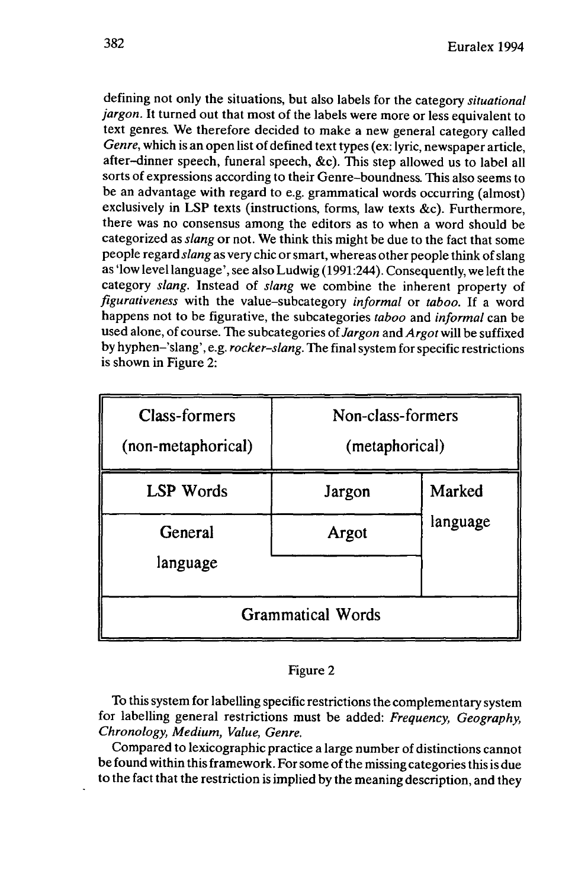defining not only the situations, but also labels for the category *situational jargon.* It turned out that most of the labels were more or less equivalent to text genres. We therefore decided to make a new general category called *Genre*, which is an open list of defined text types (ex: lyric, newspaper article, after-dinner speech, funeral speech, &c). This step allowed us to label all sorts of expressions according to their Genre-boundness. This also seems to be an advantage with regard to e.g. grammatical words occurring (almost) exclusively in LSP texts (instructions, forms, law texts &c). Furthermore, there was no consensus among the editors as to when a word should be categorized as *slang* or not. We think this might be due to the fact that some people regard *slang* as very chic orsmart, whereas other people think ofslang as 'low level language', see also Ludwig (1991:244). Consequently, we left the category *slang.* Instead of *slang* we combine the inherent property of *figurativeness* with the value-subcategory *informal* or *taboo.* If a word happens not to be figurative, the subcategories *taboo* and *informal* can be used alone, of course. The subcategories of *Jargon* and *Argot* will be suffixed by hyphen-'slang', e.g. *rocker-slang.* The finalsystem forspecific restrictions is shown in Figure 2:

| <b>Class-formers</b><br>(non-metaphorical) | Non-class-formers<br>(metaphorical) |          |
|--------------------------------------------|-------------------------------------|----------|
| <b>LSP</b> Words                           | Jargon                              | Marked   |
| General<br>language                        | Argot                               | language |
| <b>Grammatical Words</b>                   |                                     |          |

## Figure 2

To thissystem for labelling specific restrictions the complementary system for labelling general restrictions must be added: *Frequency, Geography, Chronology, Medium, Value, Genre.*

Compared to lexicographic practice a large number of distinctions cannot be found within thisframework. Forsome ofthe missing categoriesthisis due to the fact that the restriction is implied by the meaning description, and they